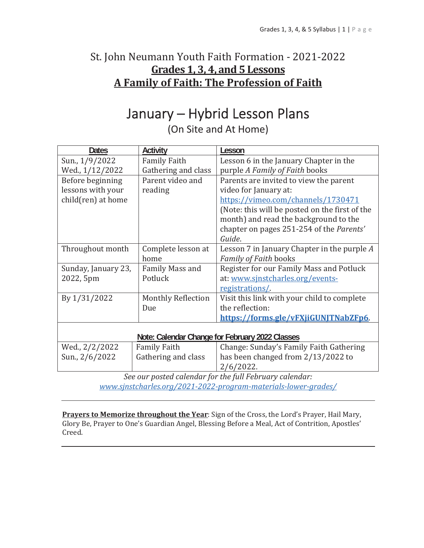## St. John Neumann Youth Faith Formation - 2021-2022 Grades 1, 3, 4, and 5 Lessons A Family of Faith: The Profession of Faith

# January - Hybrid Lesson Plans

(On Site and At Home)

| <b>Dates</b>                                    | Activity                                                | Lesson                                         |  |
|-------------------------------------------------|---------------------------------------------------------|------------------------------------------------|--|
| Sun., 1/9/2022                                  | <b>Family Faith</b>                                     | Lesson 6 in the January Chapter in the         |  |
| Wed., 1/12/2022                                 | Gathering and class                                     | purple A Family of Faith books                 |  |
| Before beginning                                | Parent video and                                        | Parents are invited to view the parent         |  |
| lessons with your                               | reading                                                 | video for January at:                          |  |
| child(ren) at home                              |                                                         | https://vimeo.com/channels/1730471             |  |
|                                                 |                                                         | (Note: this will be posted on the first of the |  |
|                                                 |                                                         | month) and read the background to the          |  |
|                                                 |                                                         | chapter on pages 251-254 of the Parents'       |  |
|                                                 |                                                         | Guide.                                         |  |
| Throughout month                                | Complete lesson at                                      | Lesson 7 in January Chapter in the purple A    |  |
|                                                 | home                                                    | Family of Faith books                          |  |
| Sunday, January 23,                             | Family Mass and                                         | Register for our Family Mass and Potluck       |  |
| 2022, 5pm                                       | Potluck                                                 | at: www.sjnstcharles.org/events-               |  |
|                                                 |                                                         | registrations/                                 |  |
| By 1/31/2022                                    | Monthly Reflection                                      | Visit this link with your child to complete    |  |
|                                                 | Due                                                     | the reflection:                                |  |
|                                                 |                                                         | https://forms.gle/vFXjiGUNJTNabZFp6.           |  |
|                                                 |                                                         |                                                |  |
| Note: Calendar Change for February 2022 Classes |                                                         |                                                |  |
| Wed., 2/2/2022                                  | <b>Family Faith</b>                                     | Change: Sunday's Family Faith Gathering        |  |
| Sun., 2/6/2022                                  | Gathering and class                                     | has been changed from 2/13/2022 to             |  |
|                                                 |                                                         | $2/6/2022$ .                                   |  |
|                                                 | See our posted calendar for the full February calendar: |                                                |  |

www.sinstcharles.org/2021-2022-program-materials-lower-grades/

Prayers to Memorize throughout the Year: Sign of the Cross, the Lord's Prayer, Hail Mary, Glory Be, Prayer to One's Guardian Angel, Blessing Before a Meal, Act of Contrition, Apostles' Creed.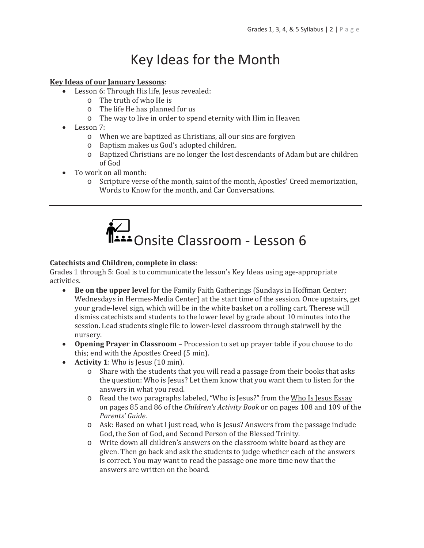# Key Ideas for the Month

#### **Key Ideas of our January Lessons:**

- Lesson 6: Through His life, Jesus revealed:
	- $\circ$  The truth of who He is
	- $\circ$  The life He has planned for us
	- o The way to live in order to spend eternity with Him in Heaven
- $\bullet$  Lesson 7:
	- o When we are baptized as Christians, all our sins are forgiven
	- o Baptism makes us God's adopted children.
	- o Baptized Christians are no longer the lost descendants of Adam but are children of God
- To work on all month:  $\bullet$ 
	- $\Omega$ Scripture verse of the month, saint of the month, Apostles' Creed memorization, Words to Know for the month, and Car Conversations.



#### **Catechists and Children, complete in class:**

Grades 1 through 5: Goal is to communicate the lesson's Key Ideas using age-appropriate activities.

- $\bullet$ Be on the upper level for the Family Faith Gatherings (Sundays in Hoffman Center; Wednesdays in Hermes-Media Center) at the start time of the session. Once upstairs, get your grade-level sign, which will be in the white basket on a rolling cart. Therese will dismiss catechists and students to the lower level by grade about 10 minutes into the session. Lead students single file to lower-level classroom through stairwell by the nursery.
- Opening Prayer in Classroom Procession to set up prayer table if you choose to do this; end with the Apostles Creed (5 min).
- Activity 1: Who is Jesus  $(10 \text{ min})$ .
	- o Share with the students that you will read a passage from their books that asks the question: Who is Jesus? Let them know that you want them to listen for the answers in what you read.
	- o Read the two paragraphs labeled, "Who is Jesus?" from the Who Is Jesus Essay on pages 85 and 86 of the Children's Activity Book or on pages 108 and 109 of the Parents' Guide.
	- $\circ$  Ask: Based on what I just read, who is Jesus? Answers from the passage include God, the Son of God, and Second Person of the Blessed Trinity.
	- o Write down all children's answers on the classroom white board as they are given. Then go back and ask the students to judge whether each of the answers is correct. You may want to read the passage one more time now that the answers are written on the board.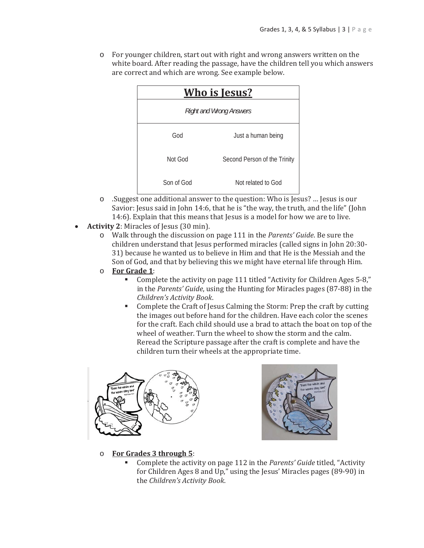• For younger children, start out with right and wrong answers written on the white board. After reading the passage, have the children tell you which answers are correct and which are wrong. See example below.

| <u>Who is Jesus?</u>           |                              |  |
|--------------------------------|------------------------------|--|
| <b>Right and Wrong Answers</b> |                              |  |
| God                            | Just a human being           |  |
| Not God                        | Second Person of the Trinity |  |
| Son of God                     | Not related to God           |  |

- o .Suggest one additional answer to the question: Who is Jesus? ... Jesus is our Savior: Jesus said in John 14:6, that he is "the way, the truth, and the life" (John 14:6). Explain that this means that Jesus is a model for how we are to live.
- **Activity 2: Miracles of Jesus (30 min).** 
	- $\circ$  Walk through the discussion on page 111 in the *Parents' Guide*. Be sure the children understand that Jesus performed miracles (called signs in John 20:30-31) because he wanted us to believe in Him and that He is the Messiah and the Son of God, and that by believing this we might have eternal life through Him.
	- For Grade 1:  $\circ$ 
		- Complete the activity on page 111 titled "Activity for Children Ages 5-8," in the Parents' Guide, using the Hunting for Miracles pages (87-88) in the Children's Activity Book.
		- Complete the Craft of Jesus Calming the Storm: Prep the craft by cutting the images out before hand for the children. Have each color the scenes for the craft. Each child should use a brad to attach the boat on top of the wheel of weather. Turn the wheel to show the storm and the calm. Reread the Scripture passage after the craft is complete and have the children turn their wheels at the appropriate time.





- For Grades 3 through 5:  $\circ$ 
	- Complete the activity on page 112 in the Parents' Guide titled, "Activity" m. for Children Ages 8 and Up," using the Jesus' Miracles pages (89-90) in the Children's Activity Book.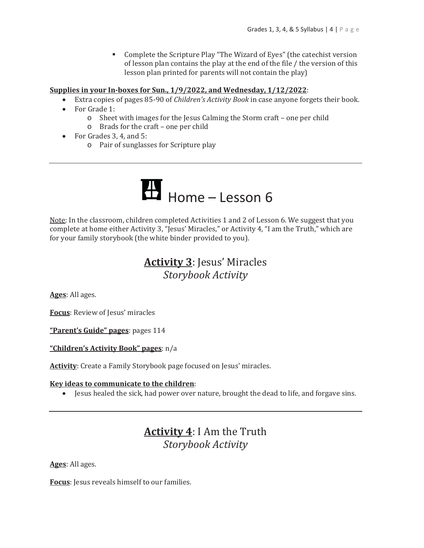• Complete the Scripture Play "The Wizard of Eyes" (the catechist version of lesson plan contains the play at the end of the file / the version of this lesson plan printed for parents will not contain the play)

#### Supplies in your In-boxes for Sun., 1/9/2022, and Wednesday, 1/12/2022.

- Extra copies of pages 85-90 of *Children's Activity Book* in case anyone forgets their book.
- For Grade 1:
	- o Sheet with images for the Jesus Calming the Storm craft one per child
	- $\circ$  Brads for the craft one per child
- For Grades  $3, 4$ , and  $5$ :
	- o Pair of sunglasses for Scripture play



Note: In the classroom, children completed Activities 1 and 2 of Lesson 6. We suggest that you complete at home either Activity 3, "Jesus' Miracles," or Activity 4, "I am the Truth," which are for your family storybook (the white binder provided to you).

## **Activity 3: Jesus' Miracles** Storybook Activity

Ages: All ages.

Focus: Review of Jesus' miracles

"Parent's Guide" pages: pages 114

"Children's Activity Book" pages: n/a

Activity: Create a Family Storybook page focused on Jesus' miracles.

#### Key ideas to communicate to the children:

• Jesus healed the sick, had power over nature, brought the dead to life, and forgave sins.

### **Activity 4:** I Am the Truth **Storybook Activity**

Ages: All ages.

Focus: Jesus reveals himself to our families.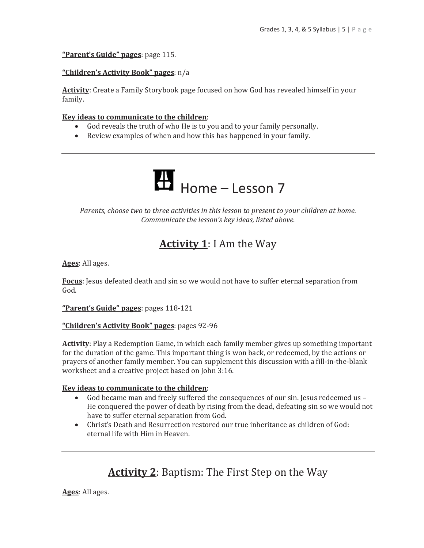"Parent's Guide" pages: page 115.

#### "Children's Activity Book" pages: n/a

Activity: Create a Family Storybook page focused on how God has revealed himself in your family.

#### Key ideas to communicate to the children:

- God reveals the truth of who He is to you and to your family personally.
- Review examples of when and how this has happened in your family.



Parents, choose two to three activities in this lesson to present to your children at home. Communicate the lesson's key ideas, listed above.

## **Activity 1:** I Am the Way

Ages: All ages.

Focus: Jesus defeated death and sin so we would not have to suffer eternal separation from God.

"Parent's Guide" pages: pages 118-121

#### "Children's Activity Book" pages: pages 92-96

**Activity**: Play a Redemption Game, in which each family member gives up something important for the duration of the game. This important thing is won back, or redeemed, by the actions or prayers of another family member. You can supplement this discussion with a fill-in-the-blank worksheet and a creative project based on John 3:16.

#### Key ideas to communicate to the children:

- God became man and freely suffered the consequences of our sin. Jesus redeemed us -He conquered the power of death by rising from the dead, defeating sin so we would not have to suffer eternal separation from God.
- Christ's Death and Resurrection restored our true inheritance as children of God: eternal life with Him in Heaven.

## **Activity 2:** Baptism: The First Step on the Way

Ages: All ages.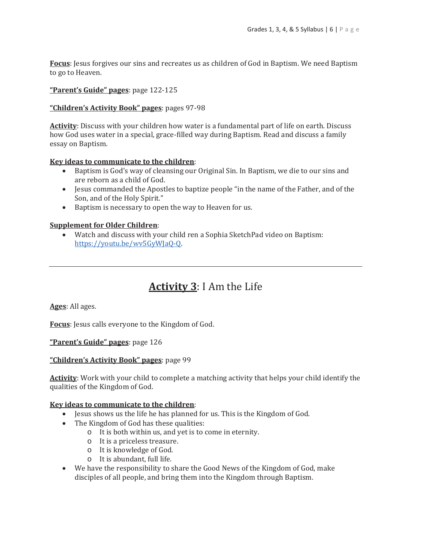**Focus:** Jesus forgives our sins and recreates us as children of God in Baptism. We need Baptism to go to Heaven.

#### "Parent's Guide" pages: page 122-125

#### "Children's Activity Book" pages: pages 97-98

**Activity:** Discuss with your children how water is a fundamental part of life on earth. Discuss how God uses water in a special, grace-filled way during Baptism. Read and discuss a family essay on Baptism.

#### Key ideas to communicate to the children:

- Baptism is God's way of cleansing our Original Sin. In Baptism, we die to our sins and are reborn as a child of God.
- Jesus commanded the Apostles to baptize people "in the name of the Father, and of the Son, and of the Holy Spirit."
- Baptism is necessary to open the way to Heaven for us.

#### **Supplement for Older Children:**

• Watch and discuss with your child ren a Sophia SketchPad video on Baptism: https://youtu.be/wv5GyWJaQ-Q.

## **Activity 3: I Am the Life**

Ages: All ages.

**Focus:** Jesus calls everyone to the Kingdom of God.

"Parent's Guide" pages: page 126

"Children's Activity Book" pages: page 99

**Activity:** Work with your child to complete a matching activity that helps your child identify the qualities of the Kingdom of God.

#### Key ideas to communicate to the children:

- Jesus shows us the life he has planned for us. This is the Kingdom of God.
- The Kingdom of God has these qualities:
	- o It is both within us, and yet is to come in eternity.
	- o It is a priceless treasure.
	- o It is knowledge of God.
	- o It is abundant, full life.
- We have the responsibility to share the Good News of the Kingdom of God, make disciples of all people, and bring them into the Kingdom through Baptism.